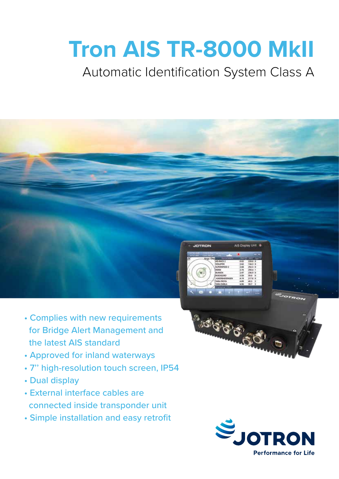# **Tron AIS TR-8000 MkII**

### Automatic Identification System Class A



- Complies with new requirements for Bridge Alert Management and the latest AIS standard
- Approved for inland waterways
- 7'' high-resolution touch screen, IP54
- Dual display
- External interface cables are connected inside transponder unit
- Simple installation and easy retrofit



BISIS OF